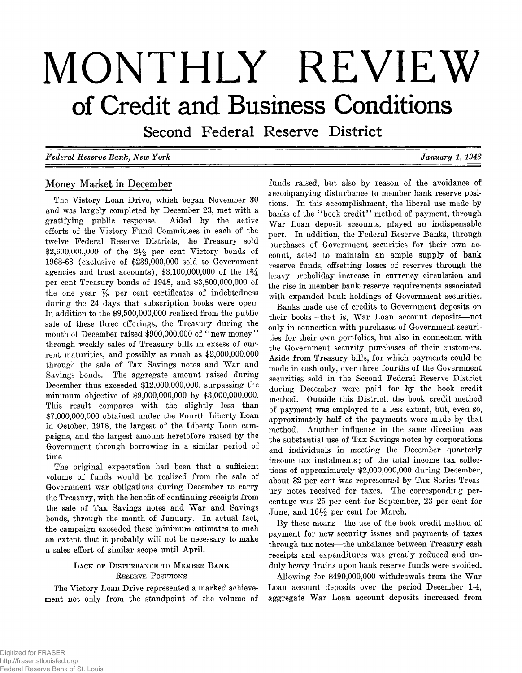# **MONTHLY REVIEW of Credit and Business Conditions**

Second Federal Reserve District

*F ed era l R eserv e B a n k , N ew Y o rk*

*January 1, 1943* 

# **Money Market in December**

**The Victory Loan Drive, which began November 30 and was largely completed by December 23, met with a gratifying public response. Aided by the active efforts of the Victory Fund Committees in each of the twelve Federal Reserve Districts, the Treasury sold \$2,600,000,000 of the 2***y 2* **per cent Victory bonds of 1963-68 (exclusive of \$239,000,000 sold to Government agencies and trust accounts), \$3,100,000,000 of the 1 % per cent Treasury bonds of 1948, and \$3,800,000,000 of the one year %** Per **cent certificates of indebtedness during the 24 days that subscription books were open. In addition to the \$9,500,000,000 realized from the public sale of these three offerings, the Treasury during the** month of December raised \$900,000,000 of "new money" **through weekly sales of Treasury bills in excess of current maturities, and possibly as much as \$2,000,000,000** through the sale of Tax Savings notes and War and **Savings bonds. The aggregate amount raised during December thus exceeded \$12,000,000,000, surpassing the minimum objective of \$9,000,000,000 by \$3,000,000,000. This result compares with the slightly less than \$7,000,000,000** obtained under **the Fourth Liberty** Loan **in October, 1918, the largest of the Liberty Loan campaigns, and the largest amount heretofore raised by the Government through borrowing in a similar period of time.**

**The original expectation had been that a sufficient volume of funds would be realized from the sale of Government war obligations during December to carry the Treasury, with the benefit of continuing receipts from** the sale of Tax Savings notes and War and Savings **bonds, through the month of January. In actual fact, the campaign exceeded these minimum estimates to such an extent that it probably will not be necessary to make a sales effort of similar scope until April.**

# LACK OF DISTURBANCE TO MEMBER BANK **R eserve P o sitio ns**

**The Victory Loan Drive represented a marked achievement not only from the standpoint of the volume of** **funds raised, but also by reason of the avoidance of accompanying disturbance to member bank reserve positions. In this accomplishment, the liberal use made by banks of the " book credit" method of payment, through** War Loan deposit accounts, played an indispensable **part. In addition, the Federal Reserve Banks, through purchases of Government securities for their own account, acted to maintain an ample supply of bank reserve funds, offsetting losses of reserves through the heavy preholiday increase in currency circulation and the rise in member bank reserve requirements associated with expanded bank holdings of Government securities.**

**Banks made use of credits to Government deposits on** their books—that is, War Loan account deposits—not **only in connection with purchases of Government securities for their own portfolios, but also in connection with the Government security purchases of their customers. Aside from Treasury bills, for which payments could be made in cash only, over three fourths of the Government securities sold in the Second Federal Reserve District during December were paid for by the book credit method. Outside this District, the book credit method of payment was employed to a less extent, but, even so, approximately half of the payments were made by that method. Another influence in the same direction was the substantial use of Tax Savings notes by corporations and individuals in meeting the December quarterly income tax instalments; of the total income tax collections of approximately \$2,000,000,000 during December, about 32 per cent was represented by Tax Series Treasury notes received for taxes. The corresponding percentage was 25 per cent for September, 23 per cent for** June, and  $16\frac{1}{2}$  per cent for March.

By these means—the use of the book credit method of **payment for new security issues and payments of taxes through tax notes— the unbalance between Treasury cash receipts and expenditures was greatly reduced and unduly heavy drains upon bank reserve funds were avoided.**

Allowing for \$490,000,000 withdrawals from the War **Loan account deposits over the period December 1-4,** aggregate War Loan account deposits increased from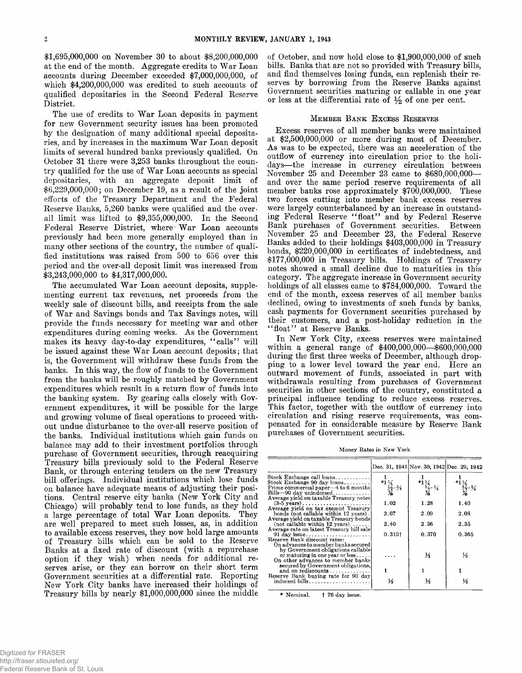**\$1,695,000,000 on November 30 to about \$8,200,000,000** at the end of the month. Aggregate credits to War Loan **accounts during December exceeded \$7,000,000,000, of which \$4,200,000,000 was credited to such accounts of qualified depositaries in the Second Federal Reserve District.**

The use of credits to War Loan deposits in payment **for new Government security issues has been promoted by the designation of many additional special deposita**ries, and by increases in the maximum War Loan deposit **limits of several hundred banks previously qualified. On October 31 there were 3,253 banks throughout the coun**try qualified for the use of War Loan accounts as special **depositaries, with an aggregate deposit limit of \$6,229,000,000; on December 19, as a result of the joint efforts of the Treasury Department and the Federal Reserve Banks, 5,260 banks were qualified and the overall limit was lifted to \$9,355,000,000. In the Second** Federal Reserve District, where War Loan accounts **previously had been more generally employed than in many other sections of the country, the number of qualified institutions was raised from 500 to 656 over this period and the over-all deposit limit was increased from \$3,243,000,000 to \$4,317,000,000.**

The accumulated War Loan account deposits, supple**menting current tax revenues, net proceeds from the weekly sale of discount bills, and receipts from the sale** of War and Savings bonds and Tax Savings notes, will **provide the funds necessary for meeting war and other** expenditures during coming weeks. As the Government makes its heavy day-to-day expenditures, "calls" will be issued against these War Loan account deposits; that **is, the Government will withdraw these funds from the banks. In this way, the flow of funds to the Government from the banks will be roughly matched by Government expenditures which result in a return flow of funds into** the banking system. By gearing calls closely with Gov**ernment expenditures, it will be possible for the large and growing volume of fiscal operations to proceed without undue disturbance to the over-all reserve position of the banks. Individual institutions which gain funds on balance may add to their investment portfolios through purchase of Government securities, through reacquiring Treasury bills previously sold to the Federal Reserve Bank, or through entering tenders on the new Treasury bill offerings. Individual institutions which lose funds on balance have adequate means of adjusting their positions. Central reserve city banks (New York City and Chicago) will probably tend to lose funds, as they hold** a large percentage of total War Loan deposits. They **are well prepared to meet such losses, as, in addition to available excess reserves, they now hold large amounts of Treasury bills which can be sold to the Reserve Banks at a fixed rate of discount (with a repurchase option if they wish) when needs for additional reserves arise, or they can borrow on their short term Government securities at a differential rate. Reporting New York City banks have increased their holdings of Treasury bills by nearly \$1,000,000,000 since the middle** **of October, and now hold close to \$1,900,000,000 of such bills. Banks that are not so provided with Treasury bills, and find themselves losing funds, can replenish their reserves by borrowing from the Reserve Banks against Government securities maturing or callable in one year** or less at the differential rate of  $\frac{1}{2}$  of one per cent.

## **M e m b e r B a n k E x c e s s R eserves**

**Excess reserves of all member banks were maintained at \$2,500,000,000 or more during most of December.** As was to be expected, there was an acceleration of the **outflow of currency into circulation prior to the holidays— the increase in currency circulation between November 25 and December 23 came to \$680,000,000 and over the same period reserve requirements of all member banks rose approximately \$700,000,000. These two forces cutting into member bank excess reserves were largely counterbalanced by an increase in outstand**ing Federal Reserve "float" and by Federal Reserve **Bank purchases of Government securities. Between November 25 and December 23, the Federal Reserve Banks added to their holdings \$403,000,000 in Treasury bonds, \$220,000,000 in certificates of indebtedness, and \$177,000,000 in Treasury bills. Holdings of Treasury notes showed a small decline due to maturities in this category. The aggregate increase in Government security holdings of all classes came to \$784,000,000. Toward the end of the month, excess reserves of all member banks declined, owing to investments of such funds by banks, cash payments for Government securities purchased by their customers, and a post-holiday reduction in the " float" at Reserve Banks.**

**In New York City, excess reserves were maintained within a general range of \$400,000,000— \$600,000,000 during the first three weeks of December, although dropping to a lower level toward the year end. Here an outward movement of funds, associated in part with withdrawals resulting from purchases of Government securities in other sections of the country, constituted a principal influence tending to reduce excess reserves. This factor, together with the outflow of currency into circulation and rising reserve requirements, was compensated for in considerable measure by Reserve Bank purchases of Government securities.**

**Money Rates in New York**

|                                                                                                                                                                                                      |                                                           |                                                                     | Dec. 31, 1941 Nov. 30, 1942 Dec. 29, 1942                            |
|------------------------------------------------------------------------------------------------------------------------------------------------------------------------------------------------------|-----------------------------------------------------------|---------------------------------------------------------------------|----------------------------------------------------------------------|
| Stock Exchange call $\log n$ s<br>Stock Exchange $90 \text{ day loans} \dots \dots$<br>Prime commercial paper—4 to 6 months<br>Bills $-90$ day unindorsed<br>Average yield on taxable Treasury notes | $*_{1}^{1}\frac{1}{\frac{1}{2}}\frac{1}{\frac{1}{2}-5/8}$ | *1 $\frac{1}{3}$<br>$\frac{5}{3}$ - $\frac{3}{4}$<br>$\frac{7}{16}$ | $*1$ $\frac{1}{2}$<br>$\frac{5}{8}$ - $\frac{3}{4}$<br>$\frac{7}{8}$ |
| $(3-5$ years)                                                                                                                                                                                        | 1.02                                                      | 1.28                                                                | 1.40                                                                 |
| Average yield on tax exempt Treasurv<br>bonds (not callable within 12 years).<br>Average vield on taxable Treasury bonds                                                                             | $2.07\,$                                                  | 2.09                                                                | 2.08                                                                 |
| $(not$ callable within 12 years)                                                                                                                                                                     | 2.40                                                      | 2.36                                                                | 2.35                                                                 |
| Average rate on latest Treasury bill sale<br>Reserve Bank discount rates:                                                                                                                            | $0.310+$                                                  | 0.370                                                               | 0.365                                                                |
| On advances to member banks secured<br>by Government obligations callable<br>or maturing in one year or less<br>On other advances to member banks                                                    |                                                           | $\frac{1}{2}$                                                       | $\frac{1}{2}$                                                        |
| secured by Government obligations.<br>and on rediscounts                                                                                                                                             |                                                           |                                                                     |                                                                      |
| Reserve Bank buying rate for 90 day<br>$indorsed bills \ldots \ldots \ldots \ldots$                                                                                                                  | ⅓                                                         | ⅓                                                                   | ⅓                                                                    |

**\* Nominal. t 76 day issue.**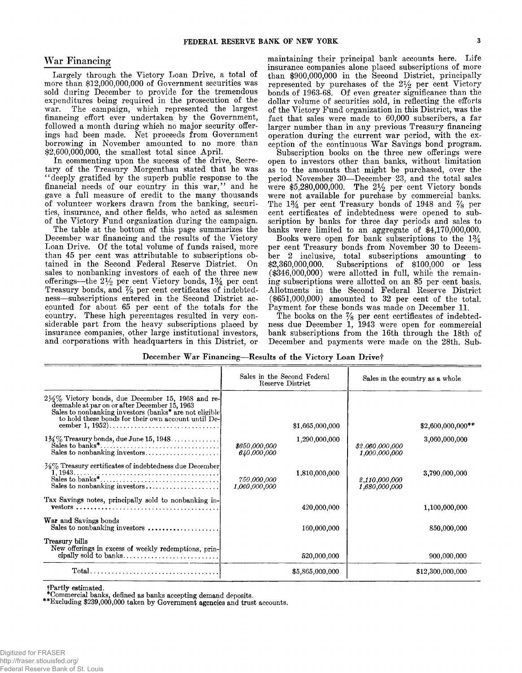**Largely through the Victory Loan Drive, a total of more than \$12,000,000,000 of Government securities was sold during December to provide for the tremendous expenditures being required in the prosecution of the war. The campaign, which represented the largest financing effort ever undertaken by the Government, followed a month during which no major security offerings had been made. Net proceeds from Government borrowing in November amounted to no more than \$2,600,000,000, the smallest total since April.**

**In commenting upon the success of the drive, Secretary of the Treasury Morgenthau stated that he was " deeply gratified by the superb public response to the** financial needs of our country in this war," and he **gave a full measure of credit to the many thousands of volunteer workers drawn from the banking, securities, insurance, and other fields, who acted as salesmen of the Victory Fund organization during the campaign.**

**The table at the bottom of this page summarizes the December war financing and the results of the Victory** Loan Drive. Of the total volume of funds raised, more **than 45 per cent was attributable to subscriptions obtained in the Second Federal Reserve District. On sales to nonbanking investors of each of the three new** offerings—the  $2\frac{1}{2}$  per cent Victory bonds,  $1\frac{3}{4}$  per cent Treasury bonds, and  $\frac{7}{8}$  per cent certificates of indebted**ness— subscriptions entered in the Second District accounted for about 65 per cent of the totals for the country. These high percentages resulted in very considerable part from the heavy subscriptions placed by insurance companies, other large institutional investors, and corporations with headquarters in this District, or**

War Financing **maintaining their principal bank accounts here.** Life **insurance companies alone placed subscriptions of more than \$900,000,000 in the Second District, principally** represented by purchases of the  $2\frac{1}{2}$  per cent Victory bonds of 1963-68. Of even greater significance than the **dollar volume of securities sold, in reflecting the efforts of the Victory Fund organization in this District, was the fact that sales were made to 60,000 subscribers, a far larger number than in any previous Treasury financing operation during the current war period, with the ex**ception of the continuous War Savings bond program.

**Subscription books on the three new offerings were open to investors other than banks, without limitation as to the amounts that might be purchased, over the period November 30— December 23, and the total sales were \$5,280,000,000. The 2 % per cent Victory bonds were not available for purchase by commercial banks.** The  $1\frac{3}{4}$  per cent Treasury bonds of 1948 and  $\frac{7}{8}$  per **cent certificates of indebtedness were opened to subscription by banks for three day periods and sales to banks were limited to an aggregate of \$4,170,000,000.**

**Books were open for bank subscriptions to the 1***%* **per cent Treasury bonds from November 30 to December 2 inclusive, total subscriptions amounting to \$2,360,000,000. Subscriptions of \$100,000 or less (\$346,000,000) were allotted in full, while the remaining subscriptions were allotted on an 85 per cent basis. Allotments in the Second Federal Reserve District (\$651,000,000) amounted to 32 per cent of the total. Payment for these bonds was made on December 11.**

The books on the  $\frac{7}{8}$  per cent certificates of indebted**ness due December 1, 1943 were open for commercial bank subscriptions from the 16th through the 18th of December and payments were made on the 28th. Sub-**

**December War Financing—Results of the Victory Loan Drivef**

|                                                                                                                                                                                                                                              | Sales in the Second Federal<br>Reserve District |                 | Sales in the country as a whole  |                    |
|----------------------------------------------------------------------------------------------------------------------------------------------------------------------------------------------------------------------------------------------|-------------------------------------------------|-----------------|----------------------------------|--------------------|
| $2\frac{1}{2}\%$ Victory bonds, due December 15, 1968 and re-<br>deemable at par on or after December 15, 1963<br>Sales to nonbanking investors (banks <sup>*</sup> are not eligible)<br>to hold these bonds for their own account until De- |                                                 | \$1,665,000,000 |                                  | $$2,600,000,000**$ |
| $1\frac{3}{4}\%$ Treasury bonds, due June 15, 1948<br>Sales to nonbanking investors                                                                                                                                                          | \$650,000,000<br>640,000,000                    | 1,290,000,000   | \$2,060,000,000<br>1,000,000,000 | 3,060,000,000      |
| $\frac{1}{2}\%$ Treasury certificates of indebtedness due December<br>$\overbrace{1,1943\ldots}^{1,1943\ldots}$ and $\overbrace{2,23\ldots}^{1,1943\ldots}$ and $\overbrace{2,23\ldots}^{1,1943\ldots}$                                      | 750,000,000<br>1,060,000,000                    | 1,810,000,000   | 2,110,000,000<br>1,680,000,000   | 3,790,000,000      |
| Tax Savings notes, principally sold to nonbanking in-<br>$\textbf{vestors} \dots \dots \dots \dots \dots \dots \dots \dots \dots \dots \dots \dots \dots \dots$                                                                              |                                                 | 420,000,000     |                                  | 1,100,000,000      |
| War and Savings bonds<br>Sales to nonbanking investors $\dots \dots \dots \dots$                                                                                                                                                             |                                                 | 160,000,000     |                                  | 850,000,000        |
| Treasury bills<br>New offerings in excess of weekly redemptions, prin-                                                                                                                                                                       |                                                 | 520,000,000     |                                  | 900,000,000        |
|                                                                                                                                                                                                                                              |                                                 | \$5,865,000,000 |                                  | \$12,300,000,000   |

**tPartly estimated.**

**\*Commercial banks, defined as banks accepting demand deposits.**

**\*\*Excluding \$239,000,000 taken by Government agencies and trust accounts.**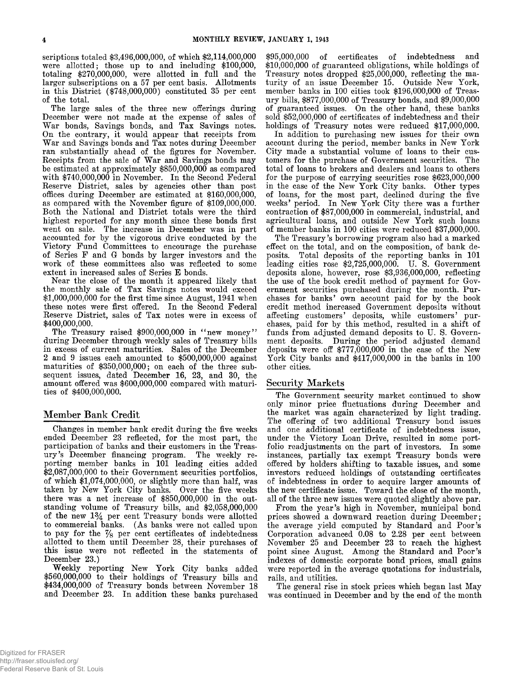**scriptions totaled \$3,496,000,000, of which \$2,114,000,000 were allotted; those up to and including \$100,000, totaling \$270,000,000, were allotted in full and the larger subscriptions on a 57 per cent basis. Allotments in this District (\$748,000,000) constituted 35 per cent of the total.**

**The large sales of the three new offerings during December were not made at the expense of sales of** War bonds, Savings bonds, and Tax Savings notes. **On the contrary, it would appear that receipts from** War and Savings bonds and Tax notes during December **ran substantially ahead of the figures for November.** Receipts from the sale of War and Savings bonds may **be estimated at approximately \$850,000,000 as compared with \$740,000,000 in November. In the Second Federal Reserve District, sales by agencies other than post** offices during December are estimated at \$160,000,000, **as compared with the November figure of \$109,000,000. Both the National and District totals were the third highest reported for any month since these bonds first went on sale. The increase in December was in part accounted for by the vigorous drive conducted by the Victory Fund Committees to encourage the purchase of Series F and G bonds by larger investors and the work of these committees also was reflected to some extent in increased sales of Series E bonds.**

**Near the close of the month it appeared likely that the monthly sale of Tax Savings notes would exceed \$1,000,000,000 for the first time since August, 1941 when these notes were first offered. In the Second Federal Reserve District, sales of Tax notes were in excess of \$400,000,000.**

The Treasury raised \$900,000,000 in "new money" **during December through weekly sales of Treasury bills in excess of current maturities. Sales of the December 2 and 9 issues each amounted to \$500,000,000 against maturities of \$350,000,000; on each of the three subsequent issues, dated December 16, 23, and 30, the amount offered was \$600,000,000 compared with maturities of \$400,000,000.**

# **Member Bank Credit**

**Changes in member bank credit during the five weeks ended December 23 reflected, for the most part, the participation of banks and their customers in the Treas**ury's December financing program. The weekly re**porting member banks in 101 leading cities added \$2,087,000,000 to their Government securities portfolios, of which \$1,074,000,000, or slightly more than half, was taken by New York City banks. Over the five weeks there was a net increase of \$850,000,000 in the outstanding volume of Treasury bills, and \$2,058,000,000 of the new 1***%* **per cent Treasury bonds were allotted** to commercial banks. (As banks were not called upon **to pay for the % per cent certificates of indebtedness allotted to them until December 28, their purchases of this issue were not reflected in the statements of December 23.)**

**W eekly reporting New York City banks added \$560,000,000 to their holdings of Treasury bills and \$434,000,000 of Treasury bonds between November 18 and December 23. In addition these banks purchased**

**\$95,000,000 of certificates of indebtedness and \$10,000,000 of guaranteed obligations, while holdings of Treasury notes dropped \$25,000,000, reflecting the maturity of an issue December 15. Outside New York, member banks in 100 cities took \$196,000,000 of Treasury bills, \$877,000,000 of Treasury bonds, and \$9,000,000 of guaranteed issues. On the other hand, these banks sold \$52,000,000 of certificates of indebtedness and their holdings of Treasury notes were reduced \$17,000,000.**

**In addition to purchasing new issues for their own account during the period, member banks in New York City made a substantial volume of loans to their customers for the purchase of Government securities. The total of loans to brokers and dealers and loans to others for the purpose of carrying securities rose \$623,000,000 in the case of the New York City banks. Other types of loans, for the most part, declined during the five weeks' period. In New York City there was a further contraction of \$87,000,000 in commercial, industrial, and agricultural loans, and outside New York such loans of member banks in 100 cities were reduced \$37,000,000.**

**The Treasury's borrowing program also had a marked effect on the total, and on the composition, of bank deposits. Total deposits of the reporting banks in 101 leading cities rose \$2,725,000,000. U. S. Government deposits alone, however, rose \$3,936,000,000, reflecting the use of the book credit method of payment for Government securities purchased during the month. Purchases for banks' own account paid for by the book credit method increased Government deposits without affecting customers' deposits, while customers' purchases, paid for by this method, resulted in a shift of funds from adjusted demand deposits to U. S. Government deposits. During the period adjusted demand deposits were off \$777,000,000 in the case of the New York City banks and \$417,000,000 in the banks in 100 other cities.**

# **Security Markets**

**The Government security market continued to show only minor price fluctuations during December and the market was again characterized by light trading. The offering of two additional Treasury bond issues and one additional certificate of indebtedness issue, under the Victory Loan Drive, resulted in some portfolio readjustments on the part of investors. In some instances, partially tax exempt Treasury bonds were offered by holders shifting to taxable issues, and some investors reduced holdings of outstanding certificates of indebtedness in order to acquire larger amounts of the new certificate issue. Toward the close of the month, all of the three new issues were quoted slightly above par.**

**From the year's high in November, municipal bond prices showed a downward reaction during December;** the average yield computed by Standard and Poor's **Corporation advanced 0.08 to 2.28 per cent between November 25 and December 23 to reach the highest** point since August. Among the Standard and Poor's **indexes of domestic corporate bond prices, small gains were reported in the average quotations for industrials, rails, and utilities.**

The general rise in stock prices which began last May **was continued in December and by the end of the month**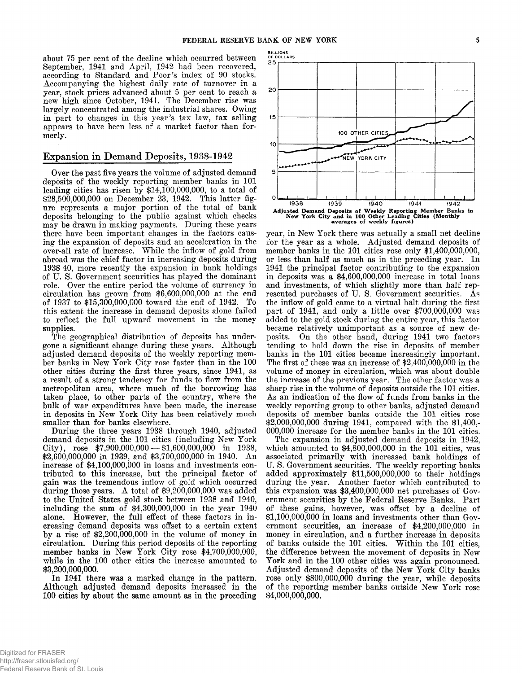**about 75 per cent of the decline which occurred between September, 1941 and April, 1942 had been recovered,** according to Standard and Poor's index of 90 stocks. **Accompanying the highest daily rate of turnover in a year, stock prices advanced about 5 per cent to reach a new high since October, 1941. The December rise was largely concentrated among the industrial shares. Owing in part to changes in this year's tax law, tax selling appears to have been less of a market factor than formerly.**

# **Expansion in Demand Deposits, 1938-1942**

**Over the past five years the volume of adjusted demand deposits of the weekly reporting member banks in 101 leading cities has risen by \$14,100,000,000, to a total of \$28,500,000,000 on December 23, 1942. This latter figure represents a major portion of the total of bank deposits belonging to the public against which checks may be drawn in making payments. During these years there have been important changes in the factors causing the expansion of deposits and an acceleration in the over-all rate of increase. W hile the inflow of gold from abroad was the chief factor in increasing deposits during 1938-40, more recently the expansion in bank holdings of U. S. Government securities has played the dominant role. Over the entire period the volume of currency in circulation has grown from \$6,600,000,000 at the end of 1937 to \$15,300,000,000 toward the end of 1942. To this extent the increase in demand deposits alone failed to reflect the full upward movement in the money supplies.**

**The geographical distribution of deposits has undergone a significant change during these years. Although adjusted demand deposits of the weekly reporting member banks in New York City rose faster than in the 100 other cities during the first three years, since 1941, as a result of a strong tendency for funds to flow from the metropolitan area, where much of the borrowing has taken place, to other parts of the country, where the bulk of war expenditures have been made, the increase in deposits in New York City has been relatively much smaller than for banks elsewhere.**

**During the three years 1938 through 1940, adjusted demand deposits in the 101 cities (including New York C ity), rose \$7,900,000,000 — \$1,600,000,000 in 1938, \$2,600,000,000 in 1939, and \$3,700,000,000 in 1940. A n increase of \$4,100,000,000 in loans and investments contributed to this increase, but the principal factor of gain was the tremendous inflow of gold which occurred during those years. A total of \$9,200,000,000 was added to the United States gold stock between 1938 and 1940, including the sum of \$4,300,000,000 in the year 1940 alone. However, the full effect of these factors in increasing demand deposits was offset to a certain extent by a rise of \$2,200,000,000 in the volume of money in circulation. During this period deposits of the reporting member banks in New York City rose \$4,700,000,000, while in the 100 other cities the increase amounted to \$3,200,000,000.**

**In 1941 there was a marked change in the pattern. Although adjusted demand deposits increased in the 100 cities by about the same amount as in the preceding**



**year, in New York there was actually a small net decline for the year as a whole. Adjusted demand deposits of member banks in the 101 cities rose only \$1,400,000,000, or less than half as much as in the preceding year. In 1941 the principal factor contributing to the expansion in deposits was a \$4,600,000,000 increase in total loans and investments, of which slightly more than half represented purchases of U. S. Government securities. As the inflow of gold came to a virtual halt during the first part of 1941, and only a little over \$700,000,000 was added to the gold stock during the entire year, this factor became relatively unimportant as a source of new deposits. On the other hand, during 1941 two factors tending to hold down the rise in deposits of member banks in the 101 cities became increasingly important. The first of these was an increase of \$2,400,000,000 in the volume of money in circulation, which was about double the increase of the previous year. The other factor was a sharp rise in the volume of deposits outside the 101 cities.** As an indication of the flow of funds from banks in the **weekly reporting group to other banks, adjusted demand deposits of member banks outside the 101 cities rose \$2,000,000,000 during 1941, compared with the \$1,400,- 000,000 increase for the member banks in the 101 cities.**

**The expansion in adjusted demand deposits in 1942, which amounted to \$4,800,000,000 in the 101 cities, was associated primarily with increased bank holdings of U. S. Government securities. The weekly reporting banks added approximately \$11,500,000,000 to their holdings during the year. Another factor which contributed to this expansion was \$3,400,000,000 net purchases of Government securities by the Federal Reserve Banks. Part of these gains, however, was offset by a decline of \$1,100,000,000 in loans and investments other than Government securities, an increase of \$4,200,000,000 in money in circulation, and a further increase in deposits of banks outside the 101 cities. W ithin the 101 cities, the difference between the movement of deposits in New York and in the 100 other cities was again pronounced. Adjusted demand deposits of the New York City banks rose only \$800,000,000 during the year, while deposits of the reporting member banks outside New York rose \$4,000,000,000.**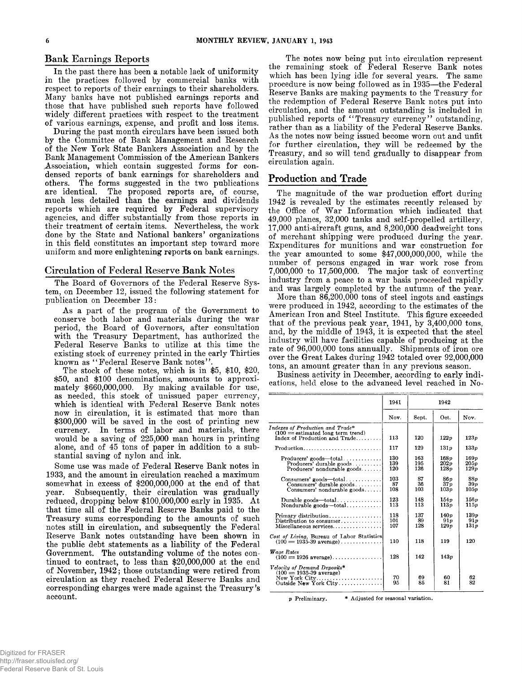**In the past there has been a notable lack of uniformity in the practices followed by commercial banks with respect to reports of their earnings to their shareholders.** Many banks have not published earnings reports and **those that have published such reports have followed widely different practices with respect to the treatment of various earnings, expense, and profit and loss items.**

**During the past month circulars have been issued both by the Committee of Bank Management and Research of the New York State Bankers Association and by the Bank Management Commission of the American Bankers Association, which contain suggested forms for condensed reports of bank earnings for shareholders and others. The forms suggested in the two publications** The proposed reports are, of course, **much less detailed than the earnings and dividends reports which are required by Federal supervisory agencies, and differ substantially from those reports in their treatment of certain items. Nevertheless, the work done by the State and National bankers' organizations in this field constitutes an important step toward more uniform and more enlightening reports on bank earnings.**

## **Circulation of Federal Reserve Bank Notes**

**The Board of Governors of the Federal Reserve System, on December 12, issued the following statement for publication on December 13:**

**A s a part of the program of the Government to conserve both labor and materials during the war period, the Board of Governors, after consultation with the Treasury Department, has authorized the Federal Reserve Banks to utilize at this time the existing stock of currency printed in the early Thirties known as " Federal Reserve Bank notes" .**

**The stock of these notes, which is in \$5, \$10, \$20, \$50, and \$100 denominations, amounts to approxi**mately \$660,000,000. By making available for use, **as needed, this stock of unissued paper currency, which is identical with Federal Reserve Bank notes now in circulation, it is estimated that more than \$300,000 will be saved in the cost of printing new currency. In terms of labor and materials, there would be a saving of 225,000 man hours in printing alone, and of 45 tons of paper in addition to a substantial saving of nylon and ink.**

**Some use was made of Federal Reserve Bank notes in 1933, and the amount in circulation reached a maximum somewhat in excess of \$200,000,000 at the end of that year. Subsequently, their circulation was gradually** reduced, dropping below \$100,000,000 early in 1935. At **that time all of the Federal Reserve Banks paid to the Treasury sums corresponding to the amounts of such notes still in circulation, and subsequently the Federal Reserve Bank notes outstanding have been shown in the public debt statements as a liability of the Federal Government. The outstanding volume of the notes continued to contract, to less than \$20,000,000 at the end of November, 1942; those outstanding were retired from circulation as they reached Federal Reserve Banks and corresponding charges were made against the Treasury's account.**

**Bank Earnings Reports State of the State of The notes now being put into circulation represent the remaining stock of Federal Reserve Bank notes which has been lying idle for several years. The same procedure is now being followed as in 1935— the Federal Reserve Banks are making payments to the Treasury for the redemption of Federal Reserve Bank notes put into circulation, and the amount outstanding is included in** published reports of "Treasury currency" outstanding, **rather than as a liability of the Federal Reserve Banks.** As the notes now being issued become worn out and unfit **for further circulation, they will be redeemed by the Treasury, and so will tend gradually to disappear from circulation again.**

# **Production and Trade**

**The magnitude of the war production effort during 1942 is revealed by the estimates recently released by** the Office of War Information which indicated that **49.000 planes, 32,000 tanks and self-propelled artillery, 17.000 anti-aircraft guns, and 8,200,000 deadweight tons of merchant shipping were produced during the year. Expenditures for munitions and war construction for the year amounted to some \$47,000,000,000, while the number of persons engaged in war work rose from 7,000,000 to 17,500,000. The major task of converting industry from a peace to a war basis proceeded rapidly and was largely completed by the autumn of the year.**

**More than 86,200,000 tons of steel ingots and castings were produced in 1942, according to the estimates of the American Iron and Steel Institute. This figure exceeded that of the previous peak year, 1941, by 3,400,000 tons, and, by the middle of 1943, it is expected that the steel industry will have facilities capable of producing at the rate of 96,000,000 tons annually. Shipments of iron ore over the Great Lakes during 1942 totaled over 92,000,000 tons, an amount greater than in any previous season.**

**Business activity in December, according to early indications, held close to the advanced level reached in No-**

|                                                                                                          | 1941              | 1942              |                                |                      |
|----------------------------------------------------------------------------------------------------------|-------------------|-------------------|--------------------------------|----------------------|
|                                                                                                          | Nov.              | Sept.             | Oct.                           | Nov.                 |
| Indexes of Production and Trade*<br>$(100 =$ estimated long term trend)<br>Index of Production and Trade | 113               | 120               | 122p                           | 123p                 |
| Production                                                                                               | 117               | 129               | 131 v                          | $133\nu$             |
| $Producers' goods—total$<br>Producers' durable goods<br>$Producers' nondurable goods. \ldots$ .          | 130<br>139<br>120 | 163<br>195<br>126 | 168p<br>202p<br>128p           | 169p<br>205p<br>129p |
| $Consumers'$ goods—total<br>Consumers' durable goods<br>Consumers' nondurable goods                      | 103<br>87<br>108  | 87<br>36<br>103   | 86n<br>37 <sub>p</sub><br>103p | 88p<br>39p<br>105p   |
| Durable goods—total<br>Nondurable goods—total                                                            | 123<br>113        | 148<br>113        | 154p<br>113p                   | 156p<br>115p         |
| Primary distribution<br>Distribution to consumer<br>Miscellaneous services                               | 118<br>101<br>107 | 137<br>89<br>128  | 140p<br>91p<br>129p            | 139p<br>91p<br>131p  |
| Cost of Living, Bureau of Labor Statistics<br>$(100 = 1935-39$ average)                                  | 110               | 118               | 119                            | 120                  |
| Wage Rates<br>$(100 = 1926 \text{ average})$                                                             | 128               | 142               | 143v                           |                      |
| Velocity of Demand Deposits*<br>$(100 = 1935 - 39$ average)<br>New York City<br>Outside New York City    | 70<br>95          | 69<br>85          | 60<br>81                       | 62<br>82             |

**p Preliminary. \* Adjusted for seasonal variation.**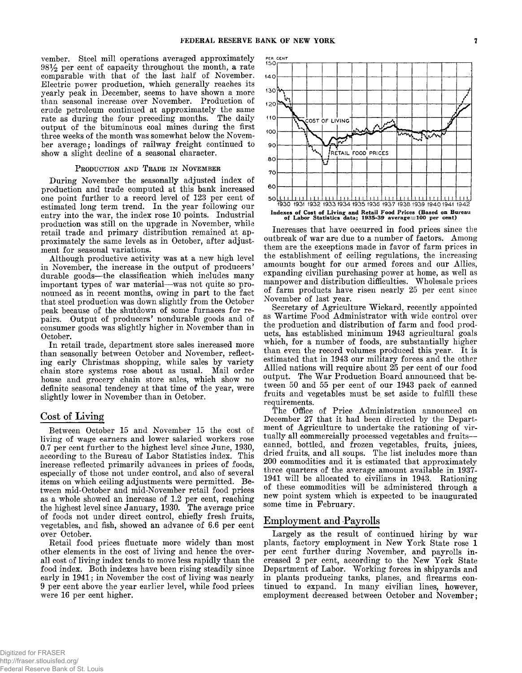**vember. Steel mill operations averaged approximately 9 8 per cent of capacity throughout the month, a rate comparable with that of the last half of November. Electric power production, which generally reaches its yearly peak in December, seems to have shown a more than seasonal increase over November. Production of crude petroleum continued at approximately the same rate as during the four preceding months. The daily output of the bituminous coal mines during the first three weeks of the month was somewhat below the November average; loadings of railway freight continued to show a slight decline of a seasonal character.**

## PRODUCTION AND TRADE IN NOVEMBER

**During November the seasonally adjusted index of production and trade computed at this bank increased one point further to a record level of 123 per cent of estimated long term trend. In the year following our entry into the war, the index rose 10 points. Industrial production was still on the upgrade in November, while retail trade and primary distribution remained at approximately the same levels as in October, after adjustment for seasonal variations.**

**Although productive activity was at a new high level in November, the increase in the output of producers' durable goods— the classification which includes many important types of war material— was not quite so pronounced as in recent months, owing in part to the fact that steel production was down slightly from the October peak because of the shutdown of some furnaces for repairs. Output of producers' nondurable goods and of consumer goods was slightly higher in November than in October.**

**In retail trade, department store sales increased more than seasonally between October and November, reflecting early Christmas shopping, while sales by variety** chain store systems rose about as usual. Mail order **house and grocery chain store sales, which show no definite seasonal tendency at that time of the year, were slightly lower in November than in October.**

# **Cost of Living**

**Between October 15 and November 15 the cost of living of wage earners and lower salaried workers rose 0.7 per cent further to the highest level since June, 1930, according to the Bureau of Labor Statistics index. This increase reflected primarily advances in prices of foods, especially of those not under control, and also of several items on which ceiling adjustments were permitted. Between mid-October and mid-November retail food prices as a whole showed an increase of 1.2 per cent, reaching the highest level since January, 1930. The average price of foods not under direct control, chiefly fresh fruits, vegetables, and fish, showed an advance of 6.6 per cent over October.**

**Eetail food prices fluctuate more widely than most other elements in the cost of living and hence the overall cost of living index tends to move less rapidly than the food index. Both indexes have been rising steadily since early in 1941; in November the cost of living was nearly 9 per cent above the year earlier level, while food prices were 16 per cent higher.**



**Increases that have occurred in food prices since the outbreak of war are due to a number of factors. Among them are the exceptions made in favor of farm prices in the establishment of ceiling regulations, the increasing amounts bought for our armed forces and our Allies, expanding civilian purchasing power at home, as well as manpower and distribution difficulties. Wholesale prices of farm products have risen nearly 25 per cent since November of last year.**

Secretary of Agriculture Wickard, recently appointed as Wartime Food Administrator with wide control over **the production and distribution of farm and food products, has established minimum 1943 agricultural goals which, for a number of foods, are substantially higher than even the record volumes produced this year. It is estimated that in 1943 our military forces and the other Allied nations will require about 25 per cent of our food** output. The War Production Board announced that be**tween 50 and 55 per cent of our 1943 pack of canned fruits and vegetables must be set aside to fulfill these requirements.**

**The Office of Price Administration announced on December 27 that it had been directed by the Department of Agriculture to undertake the rationing of virtually all commercially processed vegetables and fruits canned, bottled, and frozen vegetables, fruits, juices, dried fruits, and all soups. The list includes more than 200 commodities and it is estimated that approximately three quarters of the average amount available in 1937- 1941 will be allocated to civilians in 1943. Rationing of these commodities will be administered through a new point system which is expected to be inaugurated some time in February.**

# **Employment and Payrolls**

**Largely as the result of continued hiring by war plants, factory employment in New York State rose 1 per cent further during November, and payrolls increased 2 per cent, according to the New York State** Department of Labor. Working forces in shipyards and **in plants producing tanks, planes, and firearms continued to expand. In many civilian lines, however, employment decreased between October and November;**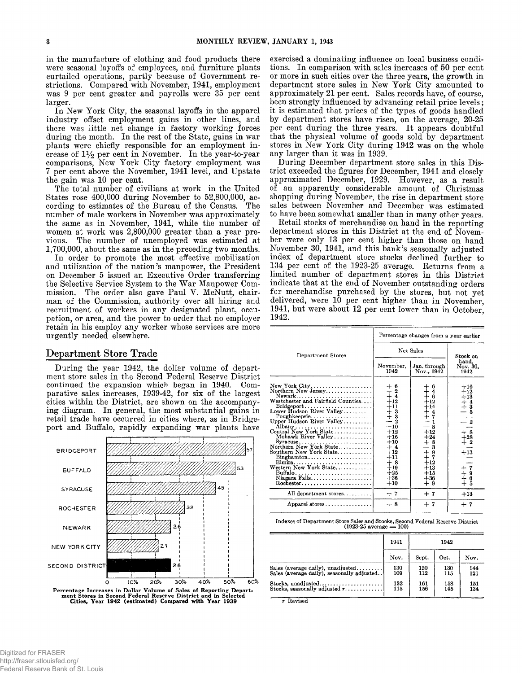**in the manufacture of clothing and food products there were seasonal layoffs of employees, and furniture plants curtailed operations, partly because of Government restrictions. Compared with November, 1941, employment was 9 per cent greater and payrolls were 35 per cent larger.**

**In New York City, the seasonal layoffs in the apparel industry offset employment gains in other lines, and there was little net change in factory working forces during the month. In the rest of the State, gains in war plants were chiefly responsible for an employment in**crease of  $1\frac{1}{2}$  per cent in November. In the year-to-year **comparisons, New York City factory employment was 7 per cent above the November, 1941 level, and Upstate the gain was 10 per cent.**

**The total number of civilians at work in the United States rose 400,000 during November to 52,800,000, according to estimates of the Bureau of the Census. The number of male workers in November was approximately the same as in November, 1941, while the number of women at work was 2,800,000 greater than a year previous. The number of unemployed was estimated at 1,700,000, about the same as in the preceding two months.**

**In order to promote the most effective mobilization and utilization of the nation's manpower, the President on December 5 issued an Executive Order transferring** the Selective Service System to the War Manpower Commission. The order also gave Paul V. McNutt, chair**man of the Commission, authority over all hiring and recruitment of workers in any designated plant, occupation, or area, and the power to order that no employer retain in his employ any worker whose services are more urgently needed elsewhere.**

# **Department Store Trade**

**During the year 1942, the dollar volume of department store sales in the Second Federal Reserve District continued the expansion which began in 1940. Comparative sales increases, 1939-42, for six of the largest cities within the District, are shown on the accompanying diagram. In general, the most substantial gains in retail trade have occurred in cities where, as in Bridgeport and Buffalo, rapidly expanding war plants have**



**exercised a dominating influence on local business conditions. In comparison with sales increases of 50 per cent or more in such cities over the three years, the growth in department store sales in New York City amounted to approximately 21 per cent. Sales records have, of course, been strongly influenced by advancing retail price levels; it is estimated that prices of the types of goods handled by department stores have risen, on the average, 20-25 per cent during the three years. It appears doubtful that the physical volume of goods sold by department stores in New York City during 1942 was on the whole any larger than it was in 1939.**

During December department store sales in this Dis**trict exceeded the figures for December, 1941 and closely approximated December, 1929. However, as a result of an apparently considerable amount of Christmas shopping during November, the rise in department store sales between November and December was estimated to have been somewhat smaller than in many other years.**

**Retail stocks of merchandise on hand in the reporting department stores in this District at the end of November were only 13 per cent higher than those on hand November 30, 1941, and this bank's seasonally adjusted index of department store stocks declined further to 134 per cent of the 1923-25 average. Returns from a limited number of department stores in this District indicate that at the end of November outstanding orders for merchandise purchased by the stores, but not yet delivered, were 10 per cent higher than in November, 1941, but were about 12 per cent lower than in October, 1942.**

|                                                                                                                                                                                                                                                                                         | Percentage changes from a year earlier                                                                                                                                                                        |                                                                                                                                        |                                                                                                                         |  |
|-----------------------------------------------------------------------------------------------------------------------------------------------------------------------------------------------------------------------------------------------------------------------------------------|---------------------------------------------------------------------------------------------------------------------------------------------------------------------------------------------------------------|----------------------------------------------------------------------------------------------------------------------------------------|-------------------------------------------------------------------------------------------------------------------------|--|
| Department Stores                                                                                                                                                                                                                                                                       | Net Sales                                                                                                                                                                                                     |                                                                                                                                        | Stock on                                                                                                                |  |
|                                                                                                                                                                                                                                                                                         | November,<br>1942                                                                                                                                                                                             | Jan. through<br>Nov., 1942                                                                                                             | hand.<br>Nov. 30.<br>1942                                                                                               |  |
| $New York City \ldots \ldots \ldots \ldots \ldots \ldots$<br>Northern New Jersey<br>Mohawk River Valley<br>Northern New York State<br>Southern New York State<br>Elmira<br>Western New York State<br>Buffalo<br>Niagara Falls<br>$Roebester. \ldots \ldots \ldots \ldots \ldots \ldots$ | $\begin{array}{c} + & 6 \\ + & 2 \\ + & 4 \end{array}$<br>$+12$<br>$+11$<br>$+$ 3<br>$+$ 3<br>$-$ 2<br>$-10$<br>$+12$<br>$+16$<br>$+10$<br>$+4$<br>$+12$<br>$+11$<br>$+8$<br>$+19$<br>$+25$<br>$+36$<br>$+10$ | $+ + +$<br>++ $+$<br>++ $+$<br>++ $+$<br>+ $ -$<br>$+12$<br>$+24$<br>$+8$<br>— 3<br>$+8.7$<br>$+12$<br>$+13$<br>$+15$<br>$+36$<br>$+9$ | $+16$<br>$+12$<br>$+13$<br>$\frac{1}{1}$ $\frac{3}{5}$<br>$\substack{+8 \ +28 \ +2}$<br>$+13$<br>$+79$<br>$+69$<br>$+5$ |  |
| All department stores                                                                                                                                                                                                                                                                   | $+7$                                                                                                                                                                                                          | $+7$                                                                                                                                   | $+13$                                                                                                                   |  |
| Apparel stores                                                                                                                                                                                                                                                                          | $+8$                                                                                                                                                                                                          | $+7$                                                                                                                                   | $+7$                                                                                                                    |  |

**Indexes of Department Store Sales and Stocks, Second Federal Reserve District (1923-25 average = 100)**

|                                                        | 1941 | 1942  |      |      |
|--------------------------------------------------------|------|-------|------|------|
|                                                        | Nov. | Sept. | Oct. | Nov. |
| Sales (average daily), unadjusted                      | 130  | 120   | 130  | 144  |
| Sales (average daily), seasonally adjusted             | 109  | 112   | 115  | 121  |
| Stocks, unadjusted                                     | 132  | 161   | 158  | 151  |
| Stocks, seasonally adjusted $r_1, \ldots, r_l, \ldots$ | 115  | 156   | 145  | 134  |

**r Revised**